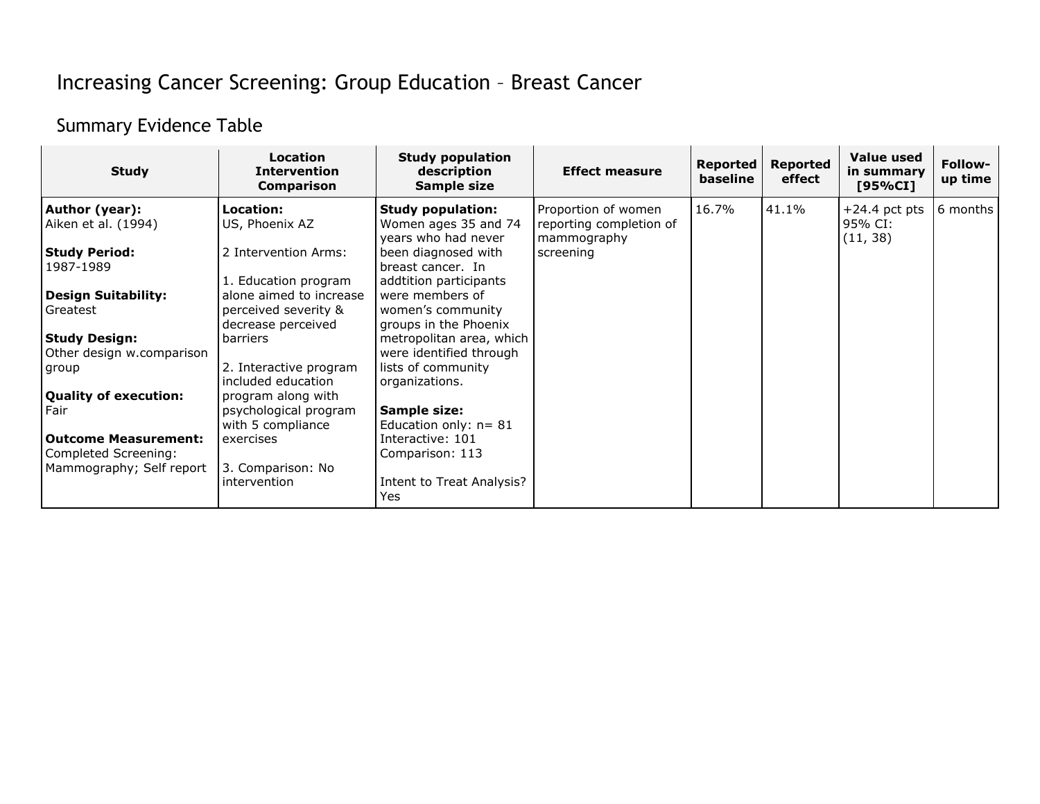## Increasing Cancer Screening: Group Education – Breast Cancer

## Summary Evidence Table

| <b>Study</b>                                        | <b>Location</b><br><b>Intervention</b><br><b>Comparison</b>           | <b>Study population</b><br>description<br>Sample size                   | <b>Effect measure</b>                                         | Reported<br>baseline | <b>Reported</b><br>effect | Value used<br>in summary<br>[95%CI]    | Follow-<br>up time |
|-----------------------------------------------------|-----------------------------------------------------------------------|-------------------------------------------------------------------------|---------------------------------------------------------------|----------------------|---------------------------|----------------------------------------|--------------------|
| Author (year):<br>Aiken et al. (1994)               | Location:<br>US, Phoenix AZ                                           | <b>Study population:</b><br>Women ages 35 and 74<br>years who had never | Proportion of women<br>reporting completion of<br>mammography | 16.7%                | 41.1%                     | $+24.4$ pct pts<br>95% CI:<br>(11, 38) | 6 months           |
| Study Period:<br>1987-1989                          | 2 Intervention Arms:<br>1. Education program                          | been diagnosed with<br>breast cancer. In<br>addtition participants      | screening                                                     |                      |                           |                                        |                    |
| <b>Design Suitability:</b><br>Greatest              | alone aimed to increase<br>perceived severity &<br>decrease perceived | were members of<br>women's community<br>groups in the Phoenix           |                                                               |                      |                           |                                        |                    |
| Study Design:<br>Other design w.comparison          | barriers                                                              | metropolitan area, which<br>were identified through                     |                                                               |                      |                           |                                        |                    |
| group                                               | 2. Interactive program<br>included education                          | lists of community<br>organizations.                                    |                                                               |                      |                           |                                        |                    |
| Quality of execution:<br>Fair                       | program along with<br>psychological program<br>with 5 compliance      | Sample size:<br>Education only: $n = 81$                                |                                                               |                      |                           |                                        |                    |
| <b>Outcome Measurement:</b><br>Completed Screening: | exercises                                                             | Interactive: 101<br>Comparison: 113                                     |                                                               |                      |                           |                                        |                    |
| Mammography; Self report                            | 3. Comparison: No<br>intervention                                     | Intent to Treat Analysis?<br>Yes                                        |                                                               |                      |                           |                                        |                    |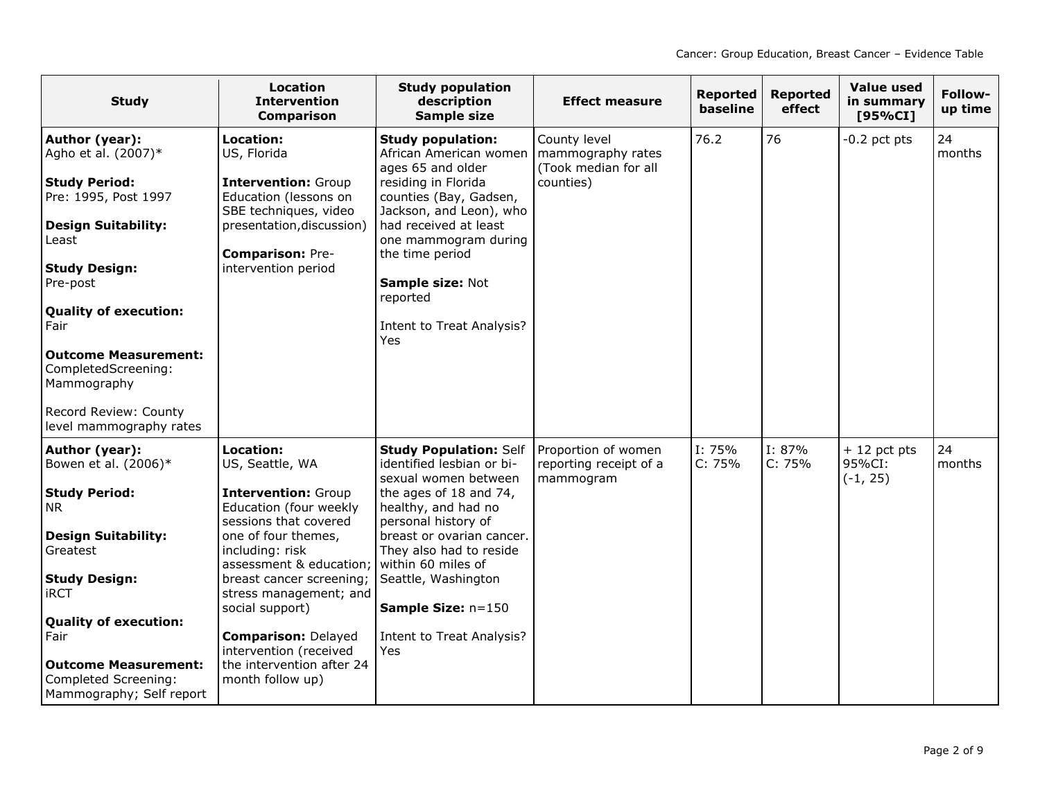| <b>Study</b>                                                                                                                                                                                                                                                                                                                      | Location<br><b>Intervention</b><br><b>Comparison</b>                                                                                                                                                                                                                                                                                                                 | <b>Study population</b><br>description<br>Sample size                                                                                                                                                                                                                                                                     | <b>Effect measure</b>                                                  | <b>Reported</b><br>baseline | <b>Reported</b><br>effect | <b>Value used</b><br>in summary<br>[95%CI] | Follow-<br>up time |
|-----------------------------------------------------------------------------------------------------------------------------------------------------------------------------------------------------------------------------------------------------------------------------------------------------------------------------------|----------------------------------------------------------------------------------------------------------------------------------------------------------------------------------------------------------------------------------------------------------------------------------------------------------------------------------------------------------------------|---------------------------------------------------------------------------------------------------------------------------------------------------------------------------------------------------------------------------------------------------------------------------------------------------------------------------|------------------------------------------------------------------------|-----------------------------|---------------------------|--------------------------------------------|--------------------|
| Author (year):<br>Agho et al. (2007)*<br><b>Study Period:</b><br>Pre: 1995, Post 1997<br><b>Design Suitability:</b><br>Least<br><b>Study Design:</b><br>Pre-post<br><b>Quality of execution:</b><br>Fair<br><b>Outcome Measurement:</b><br>CompletedScreening:<br>Mammography<br>Record Review: County<br>level mammography rates | Location:<br>US, Florida<br><b>Intervention: Group</b><br>Education (lessons on<br>SBE techniques, video<br>presentation, discussion)<br><b>Comparison: Pre-</b><br>intervention period                                                                                                                                                                              | <b>Study population:</b><br>African American women<br>ages 65 and older<br>residing in Florida<br>counties (Bay, Gadsen,<br>Jackson, and Leon), who<br>had received at least<br>one mammogram during<br>the time period<br>Sample size: Not<br>reported<br><b>Intent to Treat Analysis?</b><br>Yes                        | County level<br>mammography rates<br>(Took median for all<br>counties) | 76.2                        | 76                        | -0.2 pct pts                               | 24<br>months       |
| Author (year):<br>Bowen et al. (2006)*<br><b>Study Period:</b><br><b>NR</b><br><b>Design Suitability:</b><br>Greatest<br><b>Study Design:</b><br><b>iRCT</b><br><b>Quality of execution:</b><br>Fair<br><b>Outcome Measurement:</b><br>Completed Screening:<br>Mammography; Self report                                           | Location:<br>US, Seattle, WA<br><b>Intervention: Group</b><br>Education (four weekly<br>sessions that covered<br>one of four themes,<br>including: risk<br>assessment & education;<br>breast cancer screening;<br>stress management; and<br>social support)<br><b>Comparison: Delayed</b><br>intervention (received<br>the intervention after 24<br>month follow up) | <b>Study Population: Self</b><br>identified lesbian or bi-<br>sexual women between<br>the ages of 18 and 74,<br>healthy, and had no<br>personal history of<br>breast or ovarian cancer.<br>They also had to reside<br>within 60 miles of<br>Seattle, Washington<br>Sample Size: n=150<br>Intent to Treat Analysis?<br>Yes | Proportion of women<br>reporting receipt of a<br>mammogram             | I: 75%<br>C: 75%            | I: 87%<br>C: 75%          | $+12$ pct pts<br>95%CI:<br>$(-1, 25)$      | 24<br>months       |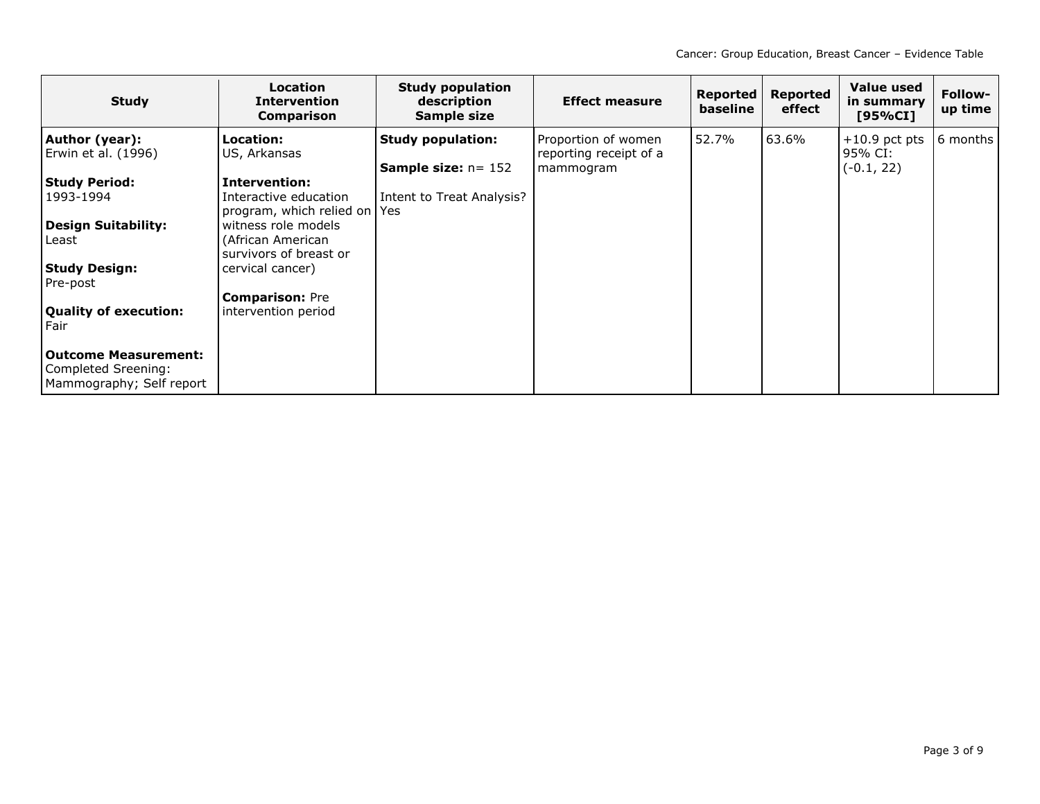| <b>Study</b>                                                            | <b>Location</b><br><b>Intervention</b><br><b>Comparison</b> | <b>Study population</b><br>description<br>Sample size     | <b>Effect measure</b>                                      | Reported<br>baseline | <b>Reported</b><br>effect | <b>Value used</b><br>in summary<br>[95%CI] | Follow-<br>up time |
|-------------------------------------------------------------------------|-------------------------------------------------------------|-----------------------------------------------------------|------------------------------------------------------------|----------------------|---------------------------|--------------------------------------------|--------------------|
| Author (year):<br>Erwin et al. (1996)                                   | Location:<br>US, Arkansas                                   | <b>Study population:</b><br><b>Sample size:</b> $n = 152$ | Proportion of women<br>reporting receipt of a<br>mammogram | 52.7%                | 63.6%                     | $+10.9$ pct pts<br>95% CI:<br>$(-0.1, 22)$ | 6 months           |
| <b>Study Period:</b>                                                    | <b>Intervention:</b>                                        |                                                           |                                                            |                      |                           |                                            |                    |
| 1993-1994                                                               | Interactive education<br>program, which relied on Yes       | Intent to Treat Analysis?                                 |                                                            |                      |                           |                                            |                    |
| Design Suitability:                                                     | witness role models                                         |                                                           |                                                            |                      |                           |                                            |                    |
| Least                                                                   | (African American<br>survivors of breast or                 |                                                           |                                                            |                      |                           |                                            |                    |
| Study Design:                                                           | cervical cancer)                                            |                                                           |                                                            |                      |                           |                                            |                    |
| Pre-post                                                                |                                                             |                                                           |                                                            |                      |                           |                                            |                    |
|                                                                         | <b>Comparison: Pre</b>                                      |                                                           |                                                            |                      |                           |                                            |                    |
| Quality of execution:<br>Fair                                           | intervention period                                         |                                                           |                                                            |                      |                           |                                            |                    |
| Outcome Measurement:<br>Completed Sreening:<br>Mammography; Self report |                                                             |                                                           |                                                            |                      |                           |                                            |                    |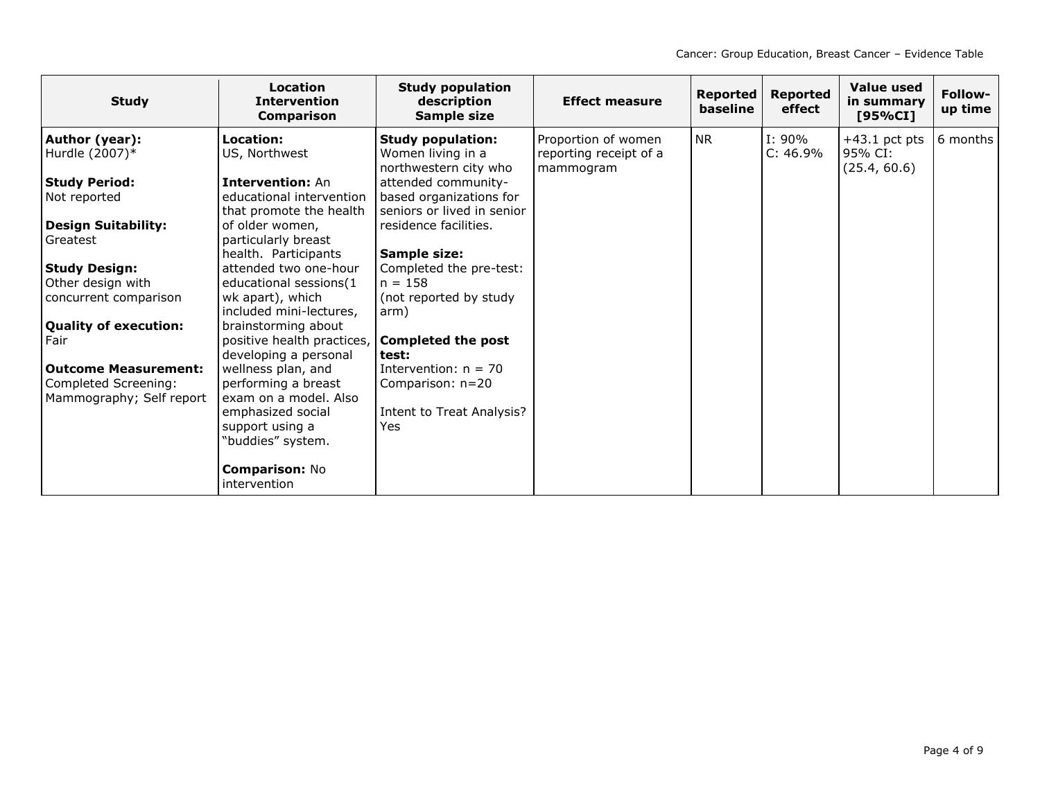| <b>Study</b>                 | Location<br><b>Intervention</b><br><b>Comparison</b> | <b>Study population</b><br>description<br>Sample size | <b>Effect measure</b>               | Reported<br>baseline | Reported<br>effect    | Value used<br>in summary<br>[95%CI] | Follow-<br>up time |
|------------------------------|------------------------------------------------------|-------------------------------------------------------|-------------------------------------|----------------------|-----------------------|-------------------------------------|--------------------|
| Author (year):               | Location:                                            | <b>Study population:</b>                              | Proportion of women                 | <b>NR</b>            | $I: 90\%$<br>C: 46.9% | $+43.1$ pct pts<br>95% CI:          | 6 months           |
| Hurdle (2007)*               | US, Northwest                                        | Women living in a<br>northwestern city who            | reporting receipt of a<br>mammogram |                      |                       | (25.4, 60.6)                        |                    |
| <b>Study Period:</b>         | <b>Intervention: An</b>                              | attended community-                                   |                                     |                      |                       |                                     |                    |
| Not reported                 | educational intervention                             | based organizations for                               |                                     |                      |                       |                                     |                    |
|                              | that promote the health                              | seniors or lived in senior                            |                                     |                      |                       |                                     |                    |
| <b>Design Suitability:</b>   | of older women,                                      | residence facilities.                                 |                                     |                      |                       |                                     |                    |
| Greatest                     | particularly breast                                  |                                                       |                                     |                      |                       |                                     |                    |
|                              | health. Participants                                 | Sample size:                                          |                                     |                      |                       |                                     |                    |
| <b>Study Design:</b>         | attended two one-hour                                | Completed the pre-test:                               |                                     |                      |                       |                                     |                    |
| Other design with            | educational sessions(1                               | $n = 158$                                             |                                     |                      |                       |                                     |                    |
| concurrent comparison        | wk apart), which                                     | (not reported by study                                |                                     |                      |                       |                                     |                    |
|                              | included mini-lectures,                              | arm)                                                  |                                     |                      |                       |                                     |                    |
| <b>Quality of execution:</b> | brainstorming about                                  |                                                       |                                     |                      |                       |                                     |                    |
| Fair                         | positive health practices,                           | <b>Completed the post</b>                             |                                     |                      |                       |                                     |                    |
|                              | developing a personal                                | test:                                                 |                                     |                      |                       |                                     |                    |
| <b>Outcome Measurement:</b>  | wellness plan, and                                   | Intervention: $n = 70$                                |                                     |                      |                       |                                     |                    |
| Completed Screening:         | performing a breast<br>exam on a model. Also         | Comparison: n=20                                      |                                     |                      |                       |                                     |                    |
| Mammography; Self report     | emphasized social                                    | Intent to Treat Analysis?                             |                                     |                      |                       |                                     |                    |
|                              | support using a                                      | <b>Yes</b>                                            |                                     |                      |                       |                                     |                    |
|                              | "buddies" system.                                    |                                                       |                                     |                      |                       |                                     |                    |
|                              |                                                      |                                                       |                                     |                      |                       |                                     |                    |
|                              | <b>Comparison: No</b><br>intervention                |                                                       |                                     |                      |                       |                                     |                    |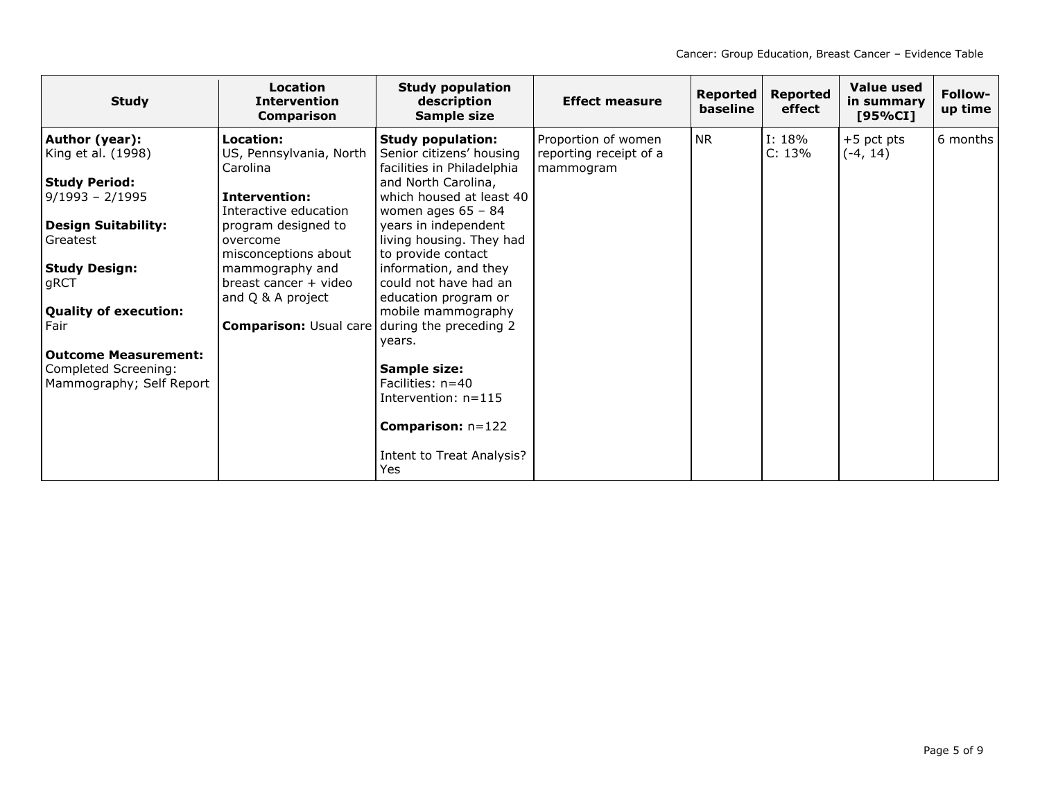| <b>Study</b>                                                                    | Location<br><b>Intervention</b><br><b>Comparison</b>          | <b>Study population</b><br>description<br>Sample size                              | <b>Effect measure</b>                                      | <b>Reported</b><br>baseline | <b>Reported</b><br>effect | Value used<br>in summary<br>[95%CI] | Follow-<br>up time |
|---------------------------------------------------------------------------------|---------------------------------------------------------------|------------------------------------------------------------------------------------|------------------------------------------------------------|-----------------------------|---------------------------|-------------------------------------|--------------------|
| Author (year):<br>King et al. (1998)                                            | Location:<br>US, Pennsylvania, North<br>Carolina              | <b>Study population:</b><br>Senior citizens' housing<br>facilities in Philadelphia | Proportion of women<br>reporting receipt of a<br>mammogram | <b>NR</b>                   | I: 18%<br>C: 13%          | $+5$ pct pts<br>$(-4, 14)$          | 6 months           |
| <b>Study Period:</b><br>$9/1993 - 2/1995$                                       | <b>Intervention:</b><br>Interactive education                 | and North Carolina,<br>which housed at least 40<br>women ages $65 - 84$            |                                                            |                             |                           |                                     |                    |
| <b>Design Suitability:</b><br>Greatest                                          | program designed to<br>overcome<br>misconceptions about       | years in independent<br>living housing. They had<br>to provide contact             |                                                            |                             |                           |                                     |                    |
| <b>Study Design:</b><br>gRCT                                                    | mammography and<br>breast cancer + video<br>and Q & A project | information, and they<br>could not have had an<br>education program or             |                                                            |                             |                           |                                     |                    |
| <b>Quality of execution:</b><br>Fair                                            | <b>Comparison: Usual care</b>                                 | mobile mammography<br>during the preceding 2                                       |                                                            |                             |                           |                                     |                    |
| <b>Outcome Measurement:</b><br>Completed Screening:<br>Mammography; Self Report |                                                               | vears.<br>Sample size:<br>Facilities: $n=40$<br>Intervention: $n=115$              |                                                            |                             |                           |                                     |                    |
|                                                                                 |                                                               | <b>Comparison:</b> $n=122$<br>Intent to Treat Analysis?<br><b>Yes</b>              |                                                            |                             |                           |                                     |                    |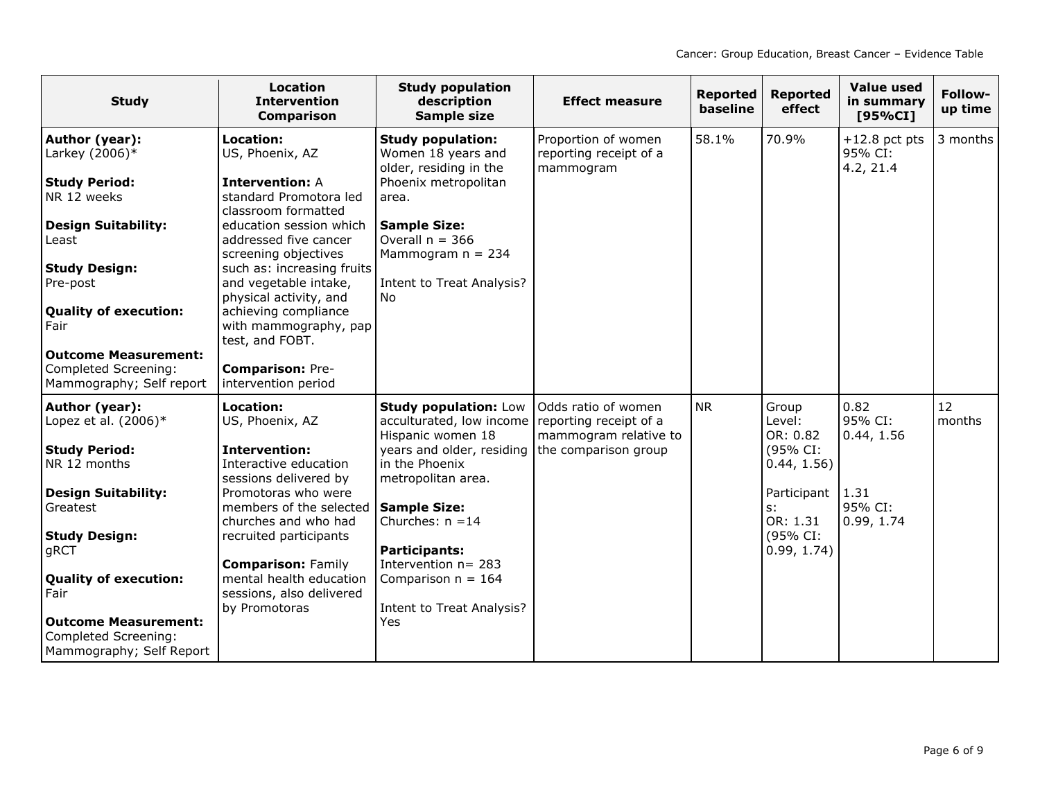| <b>Study</b>                                                                                                                                                                                                                                                                        | <b>Location</b><br><b>Intervention</b><br><b>Comparison</b>                                                                                                                                                                                                                                                                                                                                | <b>Study population</b><br>description<br>Sample size                                                                                                                                                                                                                                                         | <b>Effect measure</b>                                                                          | <b>Reported</b><br>baseline | <b>Reported</b><br>effect                                                                                             | <b>Value used</b><br>in summary<br>[95%CI]                     | Follow-<br>up time |
|-------------------------------------------------------------------------------------------------------------------------------------------------------------------------------------------------------------------------------------------------------------------------------------|--------------------------------------------------------------------------------------------------------------------------------------------------------------------------------------------------------------------------------------------------------------------------------------------------------------------------------------------------------------------------------------------|---------------------------------------------------------------------------------------------------------------------------------------------------------------------------------------------------------------------------------------------------------------------------------------------------------------|------------------------------------------------------------------------------------------------|-----------------------------|-----------------------------------------------------------------------------------------------------------------------|----------------------------------------------------------------|--------------------|
| Author (year):<br>Larkey $(2006)*$<br><b>Study Period:</b><br>NR 12 weeks<br><b>Design Suitability:</b><br>Least<br><b>Study Design:</b><br>Pre-post<br><b>Quality of execution:</b><br>Fair<br><b>Outcome Measurement:</b><br>Completed Screening:<br>Mammography; Self report     | Location:<br>US, Phoenix, AZ<br><b>Intervention: A</b><br>standard Promotora led<br>classroom formatted<br>education session which<br>addressed five cancer<br>screening objectives<br>such as: increasing fruits<br>and vegetable intake,<br>physical activity, and<br>achieving compliance<br>with mammography, pap<br>test, and FOBT.<br><b>Comparison: Pre-</b><br>intervention period | <b>Study population:</b><br>Women 18 years and<br>older, residing in the<br>Phoenix metropolitan<br>area.<br><b>Sample Size:</b><br>Overall $n = 366$<br>Mammogram $n = 234$<br>Intent to Treat Analysis?<br><b>No</b>                                                                                        | Proportion of women<br>reporting receipt of a<br>mammogram                                     | 58.1%                       | 70.9%                                                                                                                 | $+12.8$ pct pts<br>95% CI:<br>4.2, 21.4                        | 3 months           |
| Author (year):<br>Lopez et al. (2006)*<br><b>Study Period:</b><br>NR 12 months<br><b>Design Suitability:</b><br>Greatest<br><b>Study Design:</b><br>gRCT<br><b>Quality of execution:</b><br>Fair<br><b>Outcome Measurement:</b><br>Completed Screening:<br>Mammography; Self Report | <b>Location:</b><br>US, Phoenix, AZ<br><b>Intervention:</b><br>Interactive education<br>sessions delivered by<br>Promotoras who were<br>members of the selected<br>churches and who had<br>recruited participants<br><b>Comparison: Family</b><br>mental health education<br>sessions, also delivered<br>by Promotoras                                                                     | <b>Study population: Low</b><br>acculturated, low income<br>Hispanic women 18<br>years and older, residing<br>in the Phoenix<br>metropolitan area.<br><b>Sample Size:</b><br>Churches: $n = 14$<br><b>Participants:</b><br>Intervention $n = 283$<br>Comparison $n = 164$<br>Intent to Treat Analysis?<br>Yes | Odds ratio of women<br>reporting receipt of a<br>mammogram relative to<br>the comparison group | <b>NR</b>                   | Group<br>Level:<br>OR: 0.82<br>(95% CI:<br>0.44, 1.56)<br>Participant<br>$s$ :<br>OR: 1.31<br>(95% CI:<br>0.99, 1.74) | 0.82<br>95% CI:<br>0.44, 1.56<br>1.31<br>95% CI:<br>0.99, 1.74 | 12<br>months       |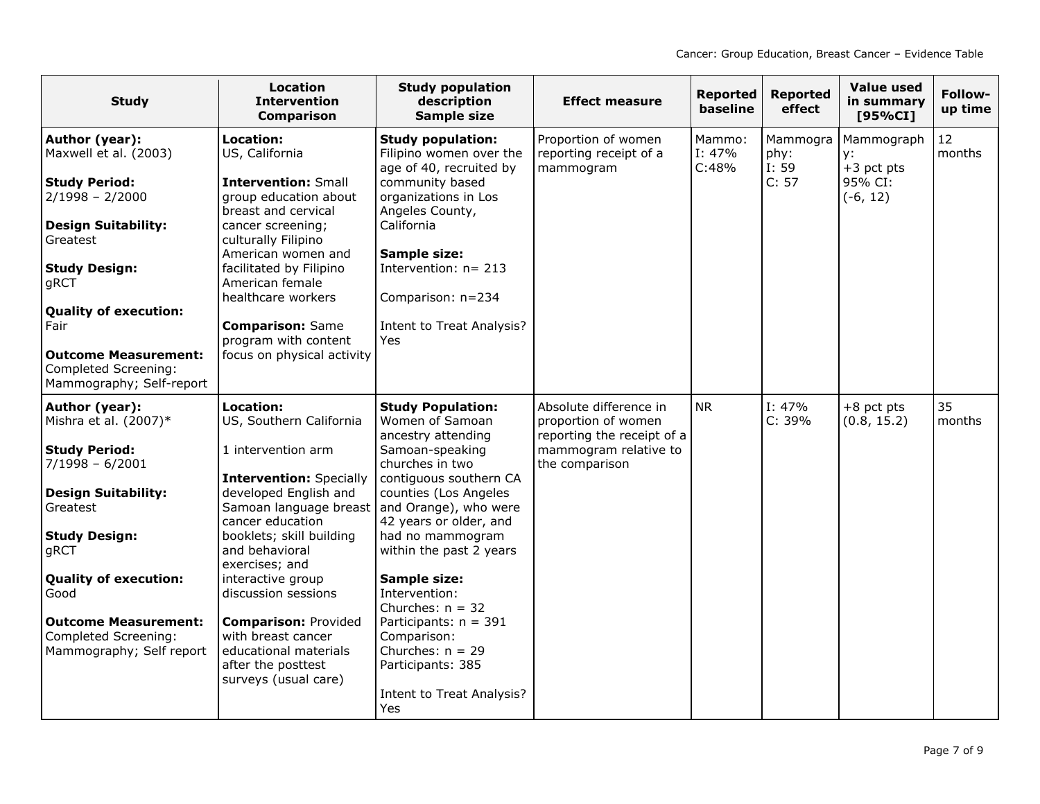| <b>Study</b>                                                                                                                                                                                                                          | <b>Location</b><br><b>Intervention</b><br><b>Comparison</b>                                                                                                                                                                                                                                                                      | <b>Study population</b><br>description<br>Sample size                                                                                                                                                                                                                                                                      | <b>Effect measure</b>                                                                                                  | <b>Reported</b><br>baseline  | <b>Reported</b><br>effect          | <b>Value used</b><br>in summary<br>[95%CI]                | Follow-<br>up time |
|---------------------------------------------------------------------------------------------------------------------------------------------------------------------------------------------------------------------------------------|----------------------------------------------------------------------------------------------------------------------------------------------------------------------------------------------------------------------------------------------------------------------------------------------------------------------------------|----------------------------------------------------------------------------------------------------------------------------------------------------------------------------------------------------------------------------------------------------------------------------------------------------------------------------|------------------------------------------------------------------------------------------------------------------------|------------------------------|------------------------------------|-----------------------------------------------------------|--------------------|
| Author (year):<br>Maxwell et al. (2003)<br><b>Study Period:</b><br>$2/1998 - 2/2000$<br><b>Design Suitability:</b><br>Greatest<br><b>Study Design:</b><br>gRCT<br><b>Quality of execution:</b><br>Fair<br><b>Outcome Measurement:</b> | Location:<br>US, California<br><b>Intervention: Small</b><br>group education about<br>breast and cervical<br>cancer screening;<br>culturally Filipino<br>American women and<br>facilitated by Filipino<br>American female<br>healthcare workers<br><b>Comparison: Same</b><br>program with content<br>focus on physical activity | <b>Study population:</b><br>Filipino women over the<br>age of 40, recruited by<br>community based<br>organizations in Los<br>Angeles County,<br>California<br>Sample size:<br>Intervention: $n = 213$<br>Comparison: n=234<br><b>Intent to Treat Analysis?</b><br>Yes                                                      | Proportion of women<br>reporting receipt of a<br>mammogram                                                             | Mammo:<br>$I: 47\%$<br>C:48% | Mammogra<br>phy:<br>I: 59<br>C: 57 | Mammograph<br>y:<br>$+3$ pct pts<br>95% CI:<br>$(-6, 12)$ | 12<br>months       |
| Completed Screening:<br>Mammography; Self-report                                                                                                                                                                                      |                                                                                                                                                                                                                                                                                                                                  |                                                                                                                                                                                                                                                                                                                            |                                                                                                                        |                              |                                    |                                                           |                    |
| Author (year):<br>Mishra et al. $(2007)*$<br><b>Study Period:</b><br>$7/1998 - 6/2001$<br><b>Design Suitability:</b><br>Greatest<br><b>Study Design:</b><br>gRCT<br><b>Quality of execution:</b><br>Good                              | Location:<br>US, Southern California<br>1 intervention arm<br><b>Intervention: Specially</b><br>developed English and<br>Samoan language breast<br>cancer education<br>booklets; skill building<br>and behavioral<br>exercises; and<br>interactive group<br>discussion sessions                                                  | <b>Study Population:</b><br>Women of Samoan<br>ancestry attending<br>Samoan-speaking<br>churches in two<br>contiguous southern CA<br>counties (Los Angeles<br>and Orange), who were<br>42 years or older, and<br>had no mammogram<br>within the past 2 years<br><b>Sample size:</b><br>Intervention:<br>Churches: $n = 32$ | Absolute difference in<br>proportion of women<br>reporting the receipt of a<br>mammogram relative to<br>the comparison | <b>NR</b>                    | I: 47%<br>C: 39%                   | $+8$ pct pts<br>(0.8, 15.2)                               | 35<br>months       |
| <b>Outcome Measurement:</b><br>Completed Screening:<br>Mammography; Self report                                                                                                                                                       | <b>Comparison: Provided</b><br>with breast cancer<br>educational materials<br>after the posttest<br>surveys (usual care)                                                                                                                                                                                                         | Participants: $n = 391$<br>Comparison:<br>Churches: $n = 29$<br>Participants: 385<br><b>Intent to Treat Analysis?</b><br>Yes                                                                                                                                                                                               |                                                                                                                        |                              |                                    |                                                           |                    |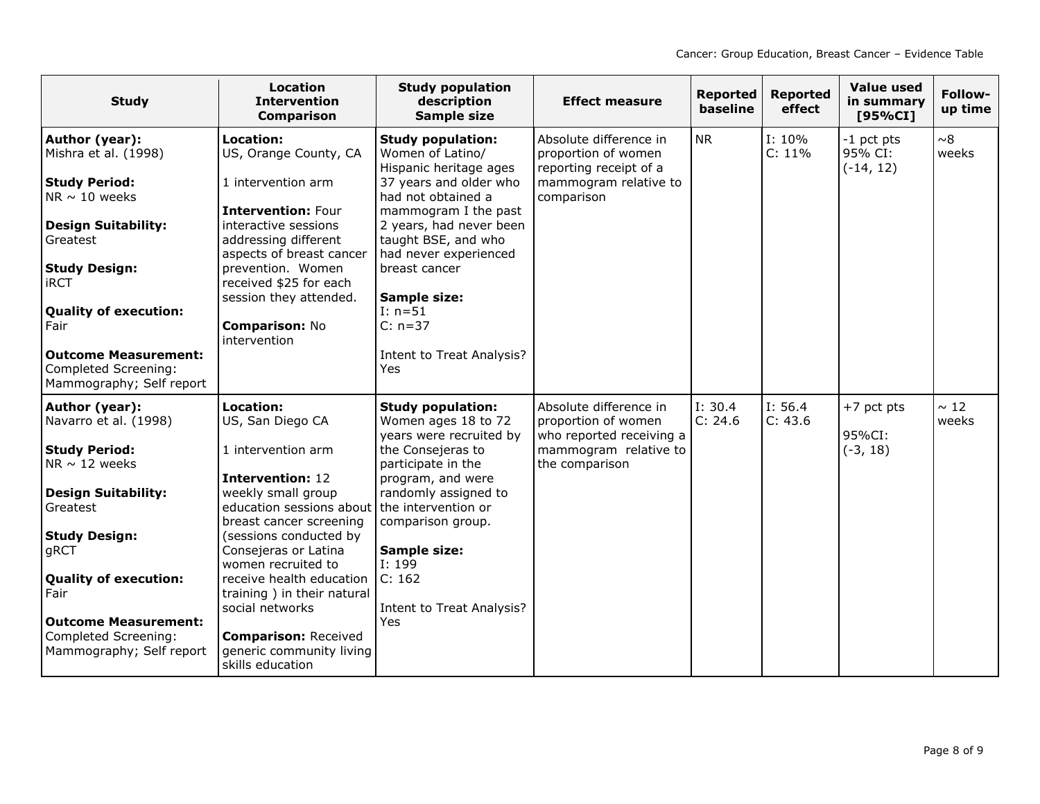| <b>Study</b>                                                                    | <b>Location</b><br><b>Intervention</b><br><b>Comparison</b>                 | <b>Study population</b><br>description<br>Sample size                                            | <b>Effect measure</b>                                                                            | <b>Reported</b><br>baseline | <b>Reported</b><br>effect | Value used<br>in summary<br>[95%CI]  | Follow-<br>up time |
|---------------------------------------------------------------------------------|-----------------------------------------------------------------------------|--------------------------------------------------------------------------------------------------|--------------------------------------------------------------------------------------------------|-----------------------------|---------------------------|--------------------------------------|--------------------|
| Author (year):<br>Mishra et al. (1998)<br><b>Study Period:</b>                  | <b>Location:</b><br>US, Orange County, CA<br>1 intervention arm             | <b>Study population:</b><br>Women of Latino/<br>Hispanic heritage ages<br>37 years and older who | Absolute difference in<br>proportion of women<br>reporting receipt of a<br>mammogram relative to | <b>NR</b>                   | $I: 10\%$<br>C: 11%       | -1 pct pts<br>95% CI:<br>$(-14, 12)$ | ~8<br>weeks        |
| NR $\sim$ 10 weeks                                                              | <b>Intervention: Four</b>                                                   | had not obtained a<br>mammogram I the past                                                       | comparison                                                                                       |                             |                           |                                      |                    |
| <b>Design Suitability:</b><br>Greatest                                          | interactive sessions<br>addressing different<br>aspects of breast cancer    | 2 years, had never been<br>taught BSE, and who<br>had never experienced                          |                                                                                                  |                             |                           |                                      |                    |
| <b>Study Design:</b><br><b>iRCT</b>                                             | prevention. Women<br>received \$25 for each<br>session they attended.       | breast cancer<br><b>Sample size:</b>                                                             |                                                                                                  |                             |                           |                                      |                    |
| <b>Quality of execution:</b><br>Fair                                            | Comparison: No<br>intervention                                              | $I: n=51$<br>$C: n=37$                                                                           |                                                                                                  |                             |                           |                                      |                    |
| <b>Outcome Measurement:</b><br>Completed Screening:<br>Mammography; Self report |                                                                             | Intent to Treat Analysis?<br>Yes                                                                 |                                                                                                  |                             |                           |                                      |                    |
| Author (year):<br>Navarro et al. (1998)                                         | Location:<br>US, San Diego CA                                               | <b>Study population:</b><br>Women ages 18 to 72<br>years were recruited by                       | Absolute difference in<br>proportion of women<br>who reported receiving a                        | I: 30.4<br>C: 24.6          | I: 56.4<br>C: 43.6        | $+7$ pct pts<br>95%CI:               | $\sim 12$<br>weeks |
| <b>Study Period:</b><br>NR $\sim$ 12 weeks                                      | 1 intervention arm<br><b>Intervention: 12</b>                               | the Consejeras to<br>participate in the<br>program, and were                                     | mammogram relative to<br>the comparison                                                          |                             |                           | $(-3, 18)$                           |                    |
| <b>Design Suitability:</b><br>Greatest                                          | weekly small group<br>education sessions about<br>breast cancer screening   | randomly assigned to<br>the intervention or<br>comparison group.                                 |                                                                                                  |                             |                           |                                      |                    |
| <b>Study Design:</b><br>gRCT                                                    | (sessions conducted by<br>Consejeras or Latina<br>women recruited to        | <b>Sample size:</b><br>I: 199                                                                    |                                                                                                  |                             |                           |                                      |                    |
| <b>Quality of execution:</b><br>Fair                                            | receive health education<br>training) in their natural<br>social networks   | C: 162<br><b>Intent to Treat Analysis?</b>                                                       |                                                                                                  |                             |                           |                                      |                    |
| <b>Outcome Measurement:</b>                                                     |                                                                             | Yes                                                                                              |                                                                                                  |                             |                           |                                      |                    |
| Completed Screening:<br>Mammography; Self report                                | <b>Comparison: Received</b><br>generic community living<br>skills education |                                                                                                  |                                                                                                  |                             |                           |                                      |                    |